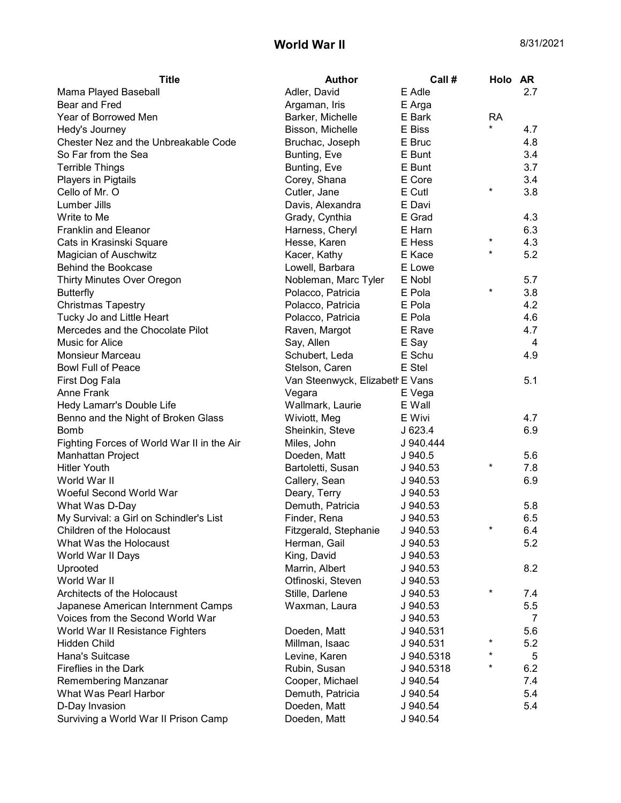## **World War II** 8/31/2021

| <b>Title</b>                                  | <b>Author</b>                   | Call#                  | Holo AR   |     |
|-----------------------------------------------|---------------------------------|------------------------|-----------|-----|
| Mama Played Baseball                          | Adler, David                    | E Adle                 |           | 2.7 |
| Bear and Fred                                 | Argaman, Iris                   | E Arga                 |           |     |
| Year of Borrowed Men                          | Barker, Michelle                | E Bark                 | <b>RA</b> |     |
| Hedy's Journey                                | Bisson, Michelle                | E Biss                 | $^\star$  | 4.7 |
| Chester Nez and the Unbreakable Code          | Bruchac, Joseph                 | E Bruc                 |           | 4.8 |
| So Far from the Sea                           | Bunting, Eve                    | E Bunt                 |           | 3.4 |
| <b>Terrible Things</b>                        | Bunting, Eve                    | E Bunt                 |           | 3.7 |
| Players in Pigtails                           | Corey, Shana                    | E Core                 |           | 3.4 |
| Cello of Mr. O                                | Cutler, Jane                    | E Cutl                 | $\star$   | 3.8 |
| Lumber Jills                                  | Davis, Alexandra                | E Davi                 |           |     |
| Write to Me                                   | Grady, Cynthia                  | E Grad                 |           | 4.3 |
| <b>Franklin and Eleanor</b>                   | Harness, Cheryl                 | E Harn                 |           | 6.3 |
| Cats in Krasinski Square                      | Hesse, Karen                    | E Hess                 | $^\star$  | 4.3 |
| Magician of Auschwitz                         | Kacer, Kathy                    | E Kace                 | $\star$   | 5.2 |
| <b>Behind the Bookcase</b>                    | Lowell, Barbara                 | E Lowe                 |           |     |
| Thirty Minutes Over Oregon                    | Nobleman, Marc Tyler            | E Nobl                 |           | 5.7 |
| <b>Butterfly</b>                              | Polacco, Patricia               | E Pola                 | $\star$   | 3.8 |
| <b>Christmas Tapestry</b>                     | Polacco, Patricia               | E Pola                 |           | 4.2 |
| Tucky Jo and Little Heart                     | Polacco, Patricia               | E Pola                 |           | 4.6 |
| Mercedes and the Chocolate Pilot              | Raven, Margot                   | E Rave                 |           | 4.7 |
| Music for Alice                               | Say, Allen                      | E Say                  |           | 4   |
| Monsieur Marceau                              | Schubert, Leda                  | E Schu                 |           | 4.9 |
| <b>Bowl Full of Peace</b>                     | Stelson, Caren                  | E Stel                 |           |     |
| First Dog Fala                                | Van Steenwyck, Elizabeth E Vans |                        |           | 5.1 |
| <b>Anne Frank</b>                             | Vegara                          | E Vega                 |           |     |
| Hedy Lamarr's Double Life                     | Wallmark, Laurie                | E Wall                 |           |     |
| Benno and the Night of Broken Glass           | Wiviott, Meg                    | E Wivi                 |           | 4.7 |
| <b>Bomb</b>                                   | Sheinkin, Steve                 | J623.4                 |           | 6.9 |
| Fighting Forces of World War II in the Air    | Miles, John                     | J 940.444              |           |     |
| Manhattan Project                             | Doeden, Matt                    | J 940.5                |           | 5.6 |
| <b>Hitler Youth</b>                           | Bartoletti, Susan               | J 940.53               | $^\star$  | 7.8 |
| World War II                                  | Callery, Sean                   | J 940.53               |           | 6.9 |
| Woeful Second World War                       | Deary, Terry                    | J 940.53               |           |     |
| What Was D-Day                                | Demuth, Patricia                | J 940.53               |           | 5.8 |
| My Survival: a Girl on Schindler's List       | Finder, Rena                    | J 940.53               |           | 6.5 |
| Children of the Holocaust                     | Fitzgerald, Stephanie           | J 940.53               |           | 6.4 |
| What Was the Holocaust                        | Herman, Gail                    | J 940.53               |           | 5.2 |
| World War II Days                             | King, David                     | J 940.53               |           |     |
| Uprooted                                      | Marrin, Albert                  | J 940.53               |           | 8.2 |
| World War II                                  | Otfinoski, Steven               | J 940.53               |           |     |
| Architects of the Holocaust                   | Stille, Darlene                 | J 940.53               | $^\star$  | 7.4 |
| Japanese American Internment Camps            | Waxman, Laura                   | J 940.53               |           | 5.5 |
| Voices from the Second World War              |                                 | J 940.53               |           | 7   |
| World War II Resistance Fighters              | Doeden, Matt                    | J 940.531              |           | 5.6 |
| Hidden Child                                  | Millman, Isaac                  | J 940.531              | $^\star$  | 5.2 |
| Hana's Suitcase                               | Levine, Karen                   | J 940.5318             | $^\star$  | 5   |
| Fireflies in the Dark                         | Rubin, Susan                    |                        | $\star$   | 6.2 |
|                                               | Cooper, Michael                 | J 940.5318<br>J 940.54 |           | 7.4 |
| Remembering Manzanar<br>What Was Pearl Harbor | Demuth, Patricia                |                        |           | 5.4 |
|                                               | Doeden, Matt                    | J 940.54               |           | 5.4 |
| D-Day Invasion                                |                                 | J 940.54               |           |     |
| Surviving a World War II Prison Camp          | Doeden, Matt                    | J 940.54               |           |     |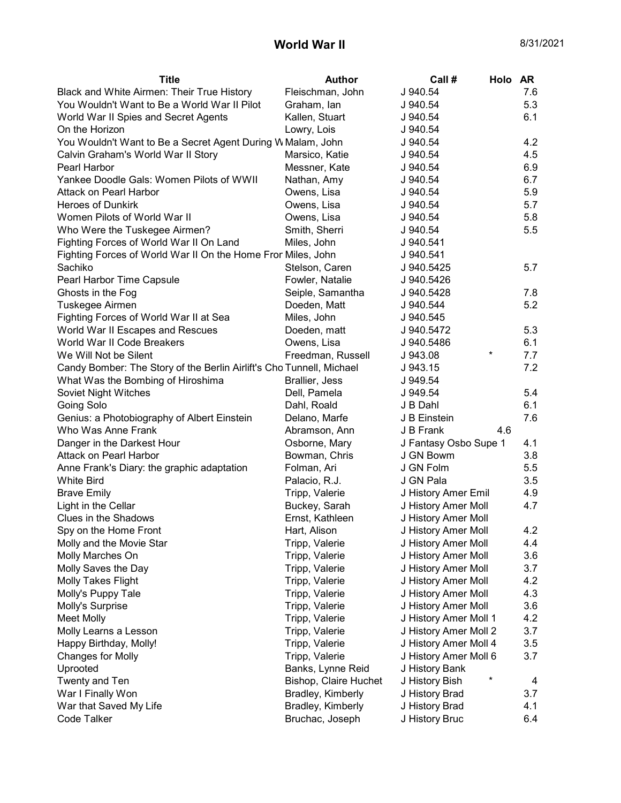## **World War II** 8/31/2021

| <b>Title</b>                                                         | <b>Author</b>         | Call #<br>Holo AR        |     |
|----------------------------------------------------------------------|-----------------------|--------------------------|-----|
| Black and White Airmen: Their True History                           | Fleischman, John      | J 940.54                 | 7.6 |
| You Wouldn't Want to Be a World War II Pilot                         | Graham, Ian           | J 940.54                 | 5.3 |
| World War II Spies and Secret Agents                                 | Kallen, Stuart        | J 940.54                 | 6.1 |
| On the Horizon                                                       | Lowry, Lois           | J 940.54                 |     |
| You Wouldn't Want to Be a Secret Agent During W Malam, John          |                       | J 940.54                 | 4.2 |
| Calvin Graham's World War II Story                                   | Marsico, Katie        | J 940.54                 | 4.5 |
| Pearl Harbor                                                         | Messner, Kate         | J 940.54                 | 6.9 |
| Yankee Doodle Gals: Women Pilots of WWII                             | Nathan, Amy           | J 940.54                 | 6.7 |
| Attack on Pearl Harbor                                               | Owens, Lisa           | J 940.54                 | 5.9 |
| <b>Heroes of Dunkirk</b>                                             | Owens, Lisa           | J 940.54                 | 5.7 |
| Women Pilots of World War II                                         | Owens, Lisa           | J 940.54                 | 5.8 |
| Who Were the Tuskegee Airmen?                                        | Smith, Sherri         | J 940.54                 | 5.5 |
| Fighting Forces of World War II On Land                              | Miles, John           | J 940.541                |     |
| Fighting Forces of World War II On the Home Fron Miles, John         |                       | J 940.541                |     |
| Sachiko                                                              | Stelson, Caren        | J 940.5425               | 5.7 |
| Pearl Harbor Time Capsule                                            | Fowler, Natalie       | J 940.5426               |     |
| Ghosts in the Fog                                                    | Seiple, Samantha      | J 940.5428               | 7.8 |
| Tuskegee Airmen                                                      | Doeden, Matt          | J 940.544                | 5.2 |
| Fighting Forces of World War II at Sea                               | Miles, John           | J 940.545                |     |
| World War II Escapes and Rescues                                     | Doeden, matt          | J 940.5472               | 5.3 |
| World War II Code Breakers                                           | Owens, Lisa           | J940.5486                | 6.1 |
| We Will Not be Silent                                                | Freedman, Russell     | $^\star$<br>J 943.08     | 7.7 |
| Candy Bomber: The Story of the Berlin Airlift's Cho Tunnell, Michael |                       | J 943.15                 | 7.2 |
| What Was the Bombing of Hiroshima                                    | Brallier, Jess        | J 949.54                 |     |
| Soviet Night Witches                                                 | Dell, Pamela          | J 949.54                 | 5.4 |
| Going Solo                                                           | Dahl, Roald           | J B Dahl                 | 6.1 |
| Genius: a Photobiography of Albert Einstein                          | Delano, Marfe         | J B Einstein             | 7.6 |
| Who Was Anne Frank                                                   | Abramson, Ann         | J B Frank<br>4.6         |     |
| Danger in the Darkest Hour                                           | Osborne, Mary         | J Fantasy Osbo Supe 1    | 4.1 |
| Attack on Pearl Harbor                                               | Bowman, Chris         | J GN Bowm                | 3.8 |
| Anne Frank's Diary: the graphic adaptation                           | Folman, Ari           | J GN Folm                | 5.5 |
| <b>White Bird</b>                                                    | Palacio, R.J.         | J GN Pala                | 3.5 |
| <b>Brave Emily</b>                                                   | Tripp, Valerie        | J History Amer Emil      | 4.9 |
| Light in the Cellar                                                  | Buckey, Sarah         | J History Amer Moll      | 4.7 |
| Clues in the Shadows                                                 | Ernst, Kathleen       | J History Amer Moll      |     |
| Spy on the Home Front                                                | Hart, Alison          | J History Amer Moll      | 4.2 |
| Molly and the Movie Star                                             | Tripp, Valerie        | J History Amer Moll      | 4.4 |
| Molly Marches On                                                     | Tripp, Valerie        | J History Amer Moll      | 3.6 |
| Molly Saves the Day                                                  | Tripp, Valerie        | J History Amer Moll      | 3.7 |
| <b>Molly Takes Flight</b>                                            | Tripp, Valerie        | J History Amer Moll      | 4.2 |
| Molly's Puppy Tale                                                   | Tripp, Valerie        | J History Amer Moll      | 4.3 |
| Molly's Surprise                                                     | Tripp, Valerie        | J History Amer Moll      | 3.6 |
| Meet Molly                                                           | Tripp, Valerie        | J History Amer Moll 1    | 4.2 |
| Molly Learns a Lesson                                                | Tripp, Valerie        | J History Amer Moll 2    | 3.7 |
| Happy Birthday, Molly!                                               | Tripp, Valerie        | J History Amer Moll 4    | 3.5 |
| <b>Changes for Molly</b>                                             | Tripp, Valerie        | J History Amer Moll 6    | 3.7 |
| Uprooted                                                             | Banks, Lynne Reid     | J History Bank           |     |
| Twenty and Ten                                                       | Bishop, Claire Huchet | $\ast$<br>J History Bish | 4   |
| War I Finally Won                                                    | Bradley, Kimberly     | J History Brad           | 3.7 |
| War that Saved My Life                                               | Bradley, Kimberly     | J History Brad           | 4.1 |
| Code Talker                                                          | Bruchac, Joseph       | J History Bruc           | 6.4 |
|                                                                      |                       |                          |     |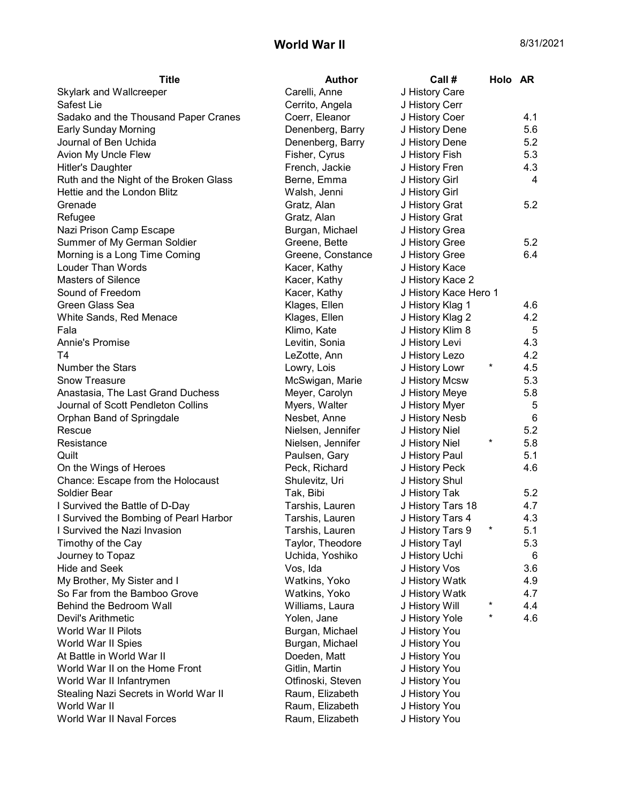## **World War II** 8/31/2021

| Carelli, Anne<br>Skylark and Wallcreeper<br>J History Care<br>Safest Lie<br>Cerrito, Angela<br>J History Cerr<br>Coerr, Eleanor<br>4.1<br>Sadako and the Thousand Paper Cranes<br>J History Coer<br>5.6<br><b>Early Sunday Morning</b><br>Denenberg, Barry<br>J History Dene<br>5.2<br>Journal of Ben Uchida<br>J History Dene<br>Denenberg, Barry<br>Avion My Uncle Flew<br>Fisher, Cyrus<br>5.3<br>J History Fish<br>4.3<br><b>Hitler's Daughter</b><br>French, Jackie<br>J History Fren<br>Ruth and the Night of the Broken Glass<br>$\overline{4}$<br>Berne, Emma<br>J History Girl<br>Hettie and the London Blitz<br>Walsh, Jenni<br>J History Girl<br>Grenade<br>Gratz, Alan<br>J History Grat<br>5.2<br>Refugee<br>Gratz, Alan<br>J History Grat |
|---------------------------------------------------------------------------------------------------------------------------------------------------------------------------------------------------------------------------------------------------------------------------------------------------------------------------------------------------------------------------------------------------------------------------------------------------------------------------------------------------------------------------------------------------------------------------------------------------------------------------------------------------------------------------------------------------------------------------------------------------------|
|                                                                                                                                                                                                                                                                                                                                                                                                                                                                                                                                                                                                                                                                                                                                                         |
|                                                                                                                                                                                                                                                                                                                                                                                                                                                                                                                                                                                                                                                                                                                                                         |
|                                                                                                                                                                                                                                                                                                                                                                                                                                                                                                                                                                                                                                                                                                                                                         |
|                                                                                                                                                                                                                                                                                                                                                                                                                                                                                                                                                                                                                                                                                                                                                         |
|                                                                                                                                                                                                                                                                                                                                                                                                                                                                                                                                                                                                                                                                                                                                                         |
|                                                                                                                                                                                                                                                                                                                                                                                                                                                                                                                                                                                                                                                                                                                                                         |
|                                                                                                                                                                                                                                                                                                                                                                                                                                                                                                                                                                                                                                                                                                                                                         |
|                                                                                                                                                                                                                                                                                                                                                                                                                                                                                                                                                                                                                                                                                                                                                         |
|                                                                                                                                                                                                                                                                                                                                                                                                                                                                                                                                                                                                                                                                                                                                                         |
|                                                                                                                                                                                                                                                                                                                                                                                                                                                                                                                                                                                                                                                                                                                                                         |
|                                                                                                                                                                                                                                                                                                                                                                                                                                                                                                                                                                                                                                                                                                                                                         |
| Nazi Prison Camp Escape<br>Burgan, Michael<br>J History Grea                                                                                                                                                                                                                                                                                                                                                                                                                                                                                                                                                                                                                                                                                            |
| Summer of My German Soldier<br>5.2<br>Greene, Bette<br>J History Gree                                                                                                                                                                                                                                                                                                                                                                                                                                                                                                                                                                                                                                                                                   |
| Morning is a Long Time Coming<br>6.4<br>Greene, Constance<br>J History Gree                                                                                                                                                                                                                                                                                                                                                                                                                                                                                                                                                                                                                                                                             |
| Louder Than Words<br>J History Kace<br>Kacer, Kathy                                                                                                                                                                                                                                                                                                                                                                                                                                                                                                                                                                                                                                                                                                     |
| <b>Masters of Silence</b><br>Kacer, Kathy<br>J History Kace 2                                                                                                                                                                                                                                                                                                                                                                                                                                                                                                                                                                                                                                                                                           |
| Sound of Freedom<br>Kacer, Kathy<br>J History Kace Hero 1                                                                                                                                                                                                                                                                                                                                                                                                                                                                                                                                                                                                                                                                                               |
| Green Glass Sea<br>Klages, Ellen<br>J History Klag 1<br>4.6                                                                                                                                                                                                                                                                                                                                                                                                                                                                                                                                                                                                                                                                                             |
| 4.2<br>White Sands, Red Menace<br>Klages, Ellen<br>J History Klag 2                                                                                                                                                                                                                                                                                                                                                                                                                                                                                                                                                                                                                                                                                     |
| 5<br>Fala<br>Klimo, Kate<br>J History Klim 8                                                                                                                                                                                                                                                                                                                                                                                                                                                                                                                                                                                                                                                                                                            |
| J History Levi<br>Annie's Promise<br>Levitin, Sonia<br>4.3                                                                                                                                                                                                                                                                                                                                                                                                                                                                                                                                                                                                                                                                                              |
| T4<br>4.2<br>LeZotte, Ann<br>J History Lezo                                                                                                                                                                                                                                                                                                                                                                                                                                                                                                                                                                                                                                                                                                             |
| $^\star$<br>Number the Stars<br>4.5<br>Lowry, Lois<br>J History Lowr                                                                                                                                                                                                                                                                                                                                                                                                                                                                                                                                                                                                                                                                                    |
| 5.3<br><b>Snow Treasure</b><br>McSwigan, Marie<br>J History Mcsw                                                                                                                                                                                                                                                                                                                                                                                                                                                                                                                                                                                                                                                                                        |
| Anastasia, The Last Grand Duchess<br>5.8<br>Meyer, Carolyn<br>J History Meye                                                                                                                                                                                                                                                                                                                                                                                                                                                                                                                                                                                                                                                                            |
| Journal of Scott Pendleton Collins<br>Myers, Walter<br>J History Myer<br>5                                                                                                                                                                                                                                                                                                                                                                                                                                                                                                                                                                                                                                                                              |
| 6<br>Orphan Band of Springdale<br>Nesbet, Anne<br>J History Nesb                                                                                                                                                                                                                                                                                                                                                                                                                                                                                                                                                                                                                                                                                        |
| 5.2<br>Rescue<br>Nielsen, Jennifer<br>J History Niel                                                                                                                                                                                                                                                                                                                                                                                                                                                                                                                                                                                                                                                                                                    |
| *<br>Nielsen, Jennifer<br>5.8<br>Resistance<br>J History Niel                                                                                                                                                                                                                                                                                                                                                                                                                                                                                                                                                                                                                                                                                           |
| Quilt<br>5.1<br>Paulsen, Gary<br>J History Paul                                                                                                                                                                                                                                                                                                                                                                                                                                                                                                                                                                                                                                                                                                         |
| On the Wings of Heroes<br>Peck, Richard<br>J History Peck<br>4.6                                                                                                                                                                                                                                                                                                                                                                                                                                                                                                                                                                                                                                                                                        |
| Chance: Escape from the Holocaust<br>Shulevitz, Uri<br>J History Shul                                                                                                                                                                                                                                                                                                                                                                                                                                                                                                                                                                                                                                                                                   |
| Soldier Bear<br>5.2<br>Tak, Bibi<br>J History Tak                                                                                                                                                                                                                                                                                                                                                                                                                                                                                                                                                                                                                                                                                                       |
| I Survived the Battle of D-Day<br>J History Tars 18<br>4.7<br>Tarshis, Lauren                                                                                                                                                                                                                                                                                                                                                                                                                                                                                                                                                                                                                                                                           |
| I Survived the Bombing of Pearl Harbor<br>Tarshis, Lauren<br>J History Tars 4<br>4.3                                                                                                                                                                                                                                                                                                                                                                                                                                                                                                                                                                                                                                                                    |
| $^\star$<br>5.1<br>I Survived the Nazi Invasion<br>Tarshis, Lauren<br>J History Tars 9                                                                                                                                                                                                                                                                                                                                                                                                                                                                                                                                                                                                                                                                  |
| Timothy of the Cay<br>Taylor, Theodore<br>5.3<br>J History Tayl                                                                                                                                                                                                                                                                                                                                                                                                                                                                                                                                                                                                                                                                                         |
| Uchida, Yoshiko<br>J History Uchi<br>Journey to Topaz<br>6                                                                                                                                                                                                                                                                                                                                                                                                                                                                                                                                                                                                                                                                                              |
| <b>Hide and Seek</b><br>J History Vos<br>3.6<br>Vos, Ida                                                                                                                                                                                                                                                                                                                                                                                                                                                                                                                                                                                                                                                                                                |
| My Brother, My Sister and I<br>J History Watk<br>4.9<br>Watkins, Yoko                                                                                                                                                                                                                                                                                                                                                                                                                                                                                                                                                                                                                                                                                   |
| So Far from the Bamboo Grove<br>Watkins, Yoko<br>J History Watk<br>4.7                                                                                                                                                                                                                                                                                                                                                                                                                                                                                                                                                                                                                                                                                  |
| $\ast$<br>Behind the Bedroom Wall<br>4.4<br>Williams, Laura<br>J History Will                                                                                                                                                                                                                                                                                                                                                                                                                                                                                                                                                                                                                                                                           |
| $^\star$<br>4.6<br>Devil's Arithmetic<br>Yolen, Jane<br>J History Yole                                                                                                                                                                                                                                                                                                                                                                                                                                                                                                                                                                                                                                                                                  |
| World War II Pilots<br>J History You<br>Burgan, Michael                                                                                                                                                                                                                                                                                                                                                                                                                                                                                                                                                                                                                                                                                                 |
| World War II Spies<br>Burgan, Michael<br>J History You                                                                                                                                                                                                                                                                                                                                                                                                                                                                                                                                                                                                                                                                                                  |
| At Battle in World War II<br>Doeden, Matt<br>J History You                                                                                                                                                                                                                                                                                                                                                                                                                                                                                                                                                                                                                                                                                              |
| World War II on the Home Front<br>Gitlin, Martin<br>J History You                                                                                                                                                                                                                                                                                                                                                                                                                                                                                                                                                                                                                                                                                       |
| Otfinoski, Steven<br>J History You<br>World War II Infantrymen                                                                                                                                                                                                                                                                                                                                                                                                                                                                                                                                                                                                                                                                                          |
| Stealing Nazi Secrets in World War II<br>Raum, Elizabeth<br>J History You                                                                                                                                                                                                                                                                                                                                                                                                                                                                                                                                                                                                                                                                               |
| World War II<br>Raum, Elizabeth<br>J History You                                                                                                                                                                                                                                                                                                                                                                                                                                                                                                                                                                                                                                                                                                        |
| World War II Naval Forces<br>Raum, Elizabeth<br>J History You                                                                                                                                                                                                                                                                                                                                                                                                                                                                                                                                                                                                                                                                                           |